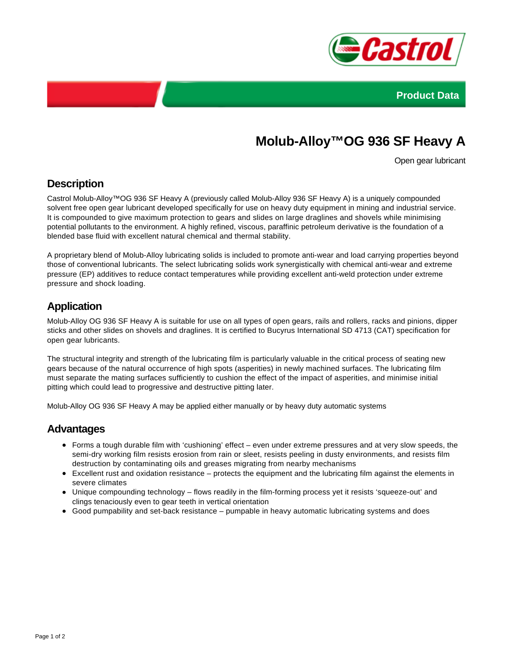



# **Molub-Alloy™OG 936 SF Heavy A**

Open gear lubricant

# **Description**

Castrol Molub-Alloy™OG 936 SF Heavy A (previously called Molub-Alloy 936 SF Heavy A) is a uniquely compounded solvent free open gear lubricant developed specifically for use on heavy duty equipment in mining and industrial service. It is compounded to give maximum protection to gears and slides on large draglines and shovels while minimising potential pollutants to the environment. A highly refined, viscous, paraffinic petroleum derivative is the foundation of a blended base fluid with excellent natural chemical and thermal stability.

A proprietary blend of Molub-Alloy lubricating solids is included to promote anti-wear and load carrying properties beyond those of conventional lubricants. The select lubricating solids work synergistically with chemical anti-wear and extreme pressure (EP) additives to reduce contact temperatures while providing excellent anti-weld protection under extreme pressure and shock loading.

# **Application**

Molub-Alloy OG 936 SF Heavy A is suitable for use on all types of open gears, rails and rollers, racks and pinions, dipper sticks and other slides on shovels and draglines. It is certified to Bucyrus International SD 4713 (CAT) specification for open gear lubricants.

The structural integrity and strength of the lubricating film is particularly valuable in the critical process of seating new gears because of the natural occurrence of high spots (asperities) in newly machined surfaces. The lubricating film must separate the mating surfaces sufficiently to cushion the effect of the impact of asperities, and minimise initial pitting which could lead to progressive and destructive pitting later.

Molub-Alloy OG 936 SF Heavy A may be applied either manually or by heavy duty automatic systems

### **Advantages**

- Forms a tough durable film with 'cushioning' effect even under extreme pressures and at very slow speeds, the semi-dry working film resists erosion from rain or sleet, resists peeling in dusty environments, and resists film destruction by contaminating oils and greases migrating from nearby mechanisms
- Excellent rust and oxidation resistance protects the equipment and the lubricating film against the elements in severe climates
- Unique compounding technology flows readily in the film-forming process yet it resists 'squeeze-out' and clings tenaciously even to gear teeth in vertical orientation
- Good pumpability and set-back resistance pumpable in heavy automatic lubricating systems and does